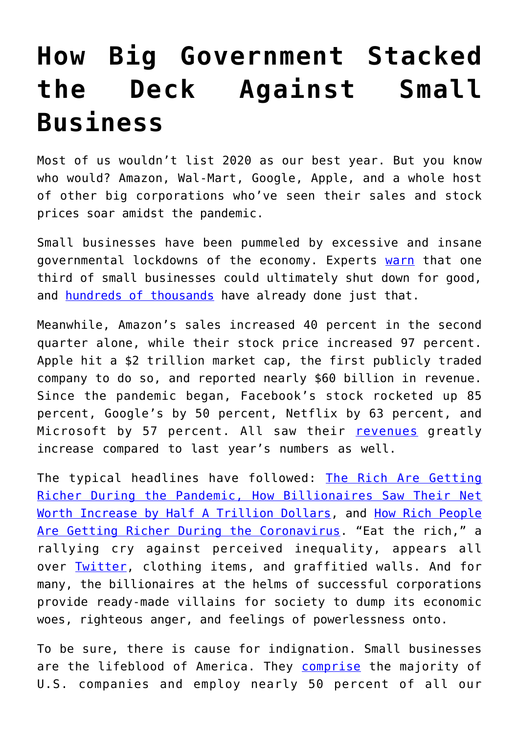## **[How Big Government Stacked](https://intellectualtakeout.org/2020/11/how-big-government-stacked-the-deck-against-small-business/) [the Deck Against Small](https://intellectualtakeout.org/2020/11/how-big-government-stacked-the-deck-against-small-business/) [Business](https://intellectualtakeout.org/2020/11/how-big-government-stacked-the-deck-against-small-business/)**

Most of us wouldn't list 2020 as our best year. But you know who would? Amazon, Wal-Mart, Google, Apple, and a whole host of other big corporations who've seen their sales and stock prices soar amidst the pandemic.

Small businesses have been pummeled by excessive and insane governmental lockdowns of the economy. Experts [warn](https://abcnews.go.com/Business/winners-pandemic-economy-big-tech-lockdown-essentials-soar/story?id=72495436) that one third of small businesses could ultimately shut down for good, and [hundreds of thousands](https://www.washingtonpost.com/business/2020/05/12/small-business-used-define-americas-economy-pandemic-could-end-that-forever/) have already done just that.

Meanwhile, Amazon's sales increased 40 percent in the second quarter alone, while their stock price increased 97 percent. Apple hit a \$2 trillion market cap, the first publicly traded company to do so, and reported nearly \$60 billion in revenue. Since the pandemic began, Facebook's stock rocketed up 85 percent, Google's by 50 percent, Netflix by 63 percent, and Microsoft by 57 percent. All saw their [revenues](https://abcnews.go.com/Business/winners-pandemic-economy-big-tech-lockdown-essentials-soar/story?id=72495436) greatly increase compared to last year's numbers as well.

The typical headlines have followed: [The Rich Are Getting](https://www.forbes.com/sites/jackkelly/2020/07/22/the-rich-are-getting-richer-during-the-pandemic/?sh=5040db005c7e) [Richer During the Pandemic](https://www.forbes.com/sites/jackkelly/2020/07/22/the-rich-are-getting-richer-during-the-pandemic/?sh=5040db005c7e)[, How Billionaires Saw Their Net](https://www.businessinsider.com/billionaires-net-worth-increases-coronavirus-pandemic-2020-7) [Worth Increase by Half A Trillion Dollars,](https://www.businessinsider.com/billionaires-net-worth-increases-coronavirus-pandemic-2020-7) and [How Rich People](https://www.gq.com/story/rich-people-getting-richer-coronavirus-pandemic) [Are Getting Richer During the Coronavirus.](https://www.gq.com/story/rich-people-getting-richer-coronavirus-pandemic) "Eat the rich," a rallying cry against perceived inequality, appears all over [Twitter,](https://www.thelexingtonline.com/blog/2020/1/28/how-twitters-new-favorite-phrase-is-changing-americas-mind) clothing items, and graffitied walls. And for many, the billionaires at the helms of successful corporations provide ready-made villains for society to dump its economic woes, righteous anger, and feelings of powerlessness onto.

To be sure, there is cause for indignation. Small businesses are the lifeblood of America. They **[comprise](https://www.fundera.com/blog/small-business-employment-and-growth-statistics)** the majority of U.S. companies and employ nearly 50 percent of all our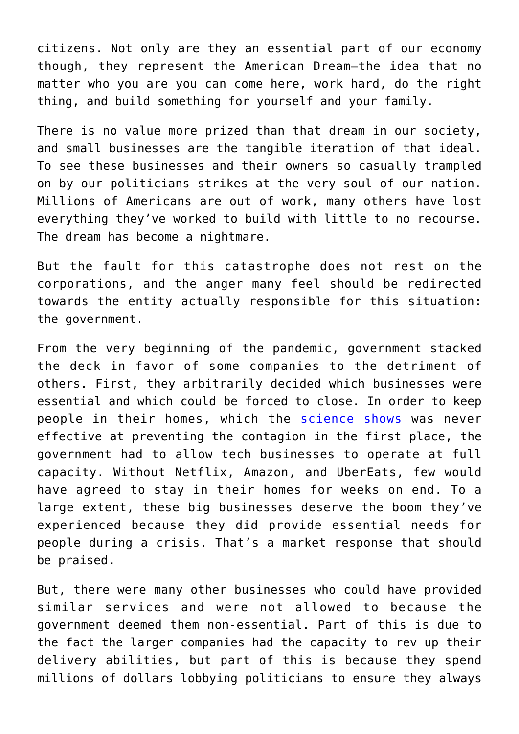citizens. Not only are they an essential part of our economy though, they represent the American Dream—the idea that no matter who you are you can come here, work hard, do the right thing, and build something for yourself and your family.

There is no value more prized than that dream in our society, and small businesses are the tangible iteration of that ideal. To see these businesses and their owners so casually trampled on by our politicians strikes at the very soul of our nation. Millions of Americans are out of work, many others have lost everything they've worked to build with little to no recourse. The dream has become a nightmare.

But the fault for this catastrophe does not rest on the corporations, and the anger many feel should be redirected towards the entity actually responsible for this situation: the government.

From the very beginning of the pandemic, government stacked the deck in favor of some companies to the detriment of others. First, they arbitrarily decided which businesses were essential and which could be forced to close. In order to keep people in their homes, which the [science shows](https://fee.org/articles/lockdowns-not-linked-with-lower-covid-death-rates-new-study-finds/) was never effective at preventing the contagion in the first place, the government had to allow tech businesses to operate at full capacity. Without Netflix, Amazon, and UberEats, few would have agreed to stay in their homes for weeks on end. To a large extent, these big businesses deserve the boom they've experienced because they did provide essential needs for people during a crisis. That's a market response that should be praised.

But, there were many other businesses who could have provided similar services and were not allowed to because the government deemed them non-essential. Part of this is due to the fact the larger companies had the capacity to rev up their delivery abilities, but part of this is because they spend millions of dollars lobbying politicians to ensure they always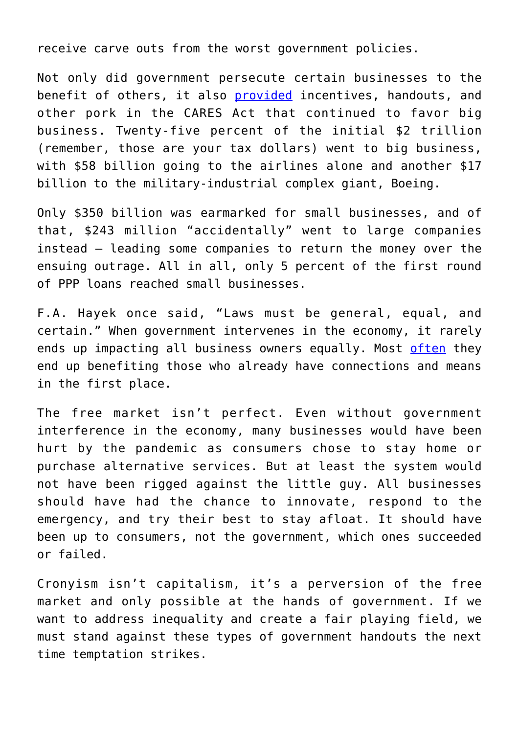receive carve outs from the worst government policies.

Not only did government persecute certain businesses to the benefit of others, it also **provided** incentives, handouts, and other pork in the CARES Act that continued to favor big business. Twenty-five percent of the initial \$2 trillion (remember, those are your tax dollars) went to big business, with \$58 billion going to the airlines alone and another \$17 billion to the military-industrial complex giant, Boeing.

Only \$350 billion was earmarked for small businesses, and of that, \$243 million "accidentally" went to large companies instead – leading some companies to return the money over the ensuing outrage. All in all, only 5 percent of the first round of PPP loans reached small businesses.

F.A. Hayek once said, "Laws must be general, equal, and certain." When government intervenes in the economy, it rarely ends up impacting all business owners equally. Most [often](https://www.propublica.org/article/how-the-coronavirus-bailout-repeats-2008s-mistakes-huge-corporate-payoffs-with-little-accountability) they end up benefiting those who already have connections and means in the first place.

The free market isn't perfect. Even without government interference in the economy, many businesses would have been hurt by the pandemic as consumers chose to stay home or purchase alternative services. But at least the system would not have been rigged against the little guy. All businesses should have had the chance to innovate, respond to the emergency, and try their best to stay afloat. It should have been up to consumers, not the government, which ones succeeded or failed.

Cronyism isn't capitalism, it's a perversion of the free market and only possible at the hands of government. If we want to address inequality and create a fair playing field, we must stand against these types of government handouts the next time temptation strikes.